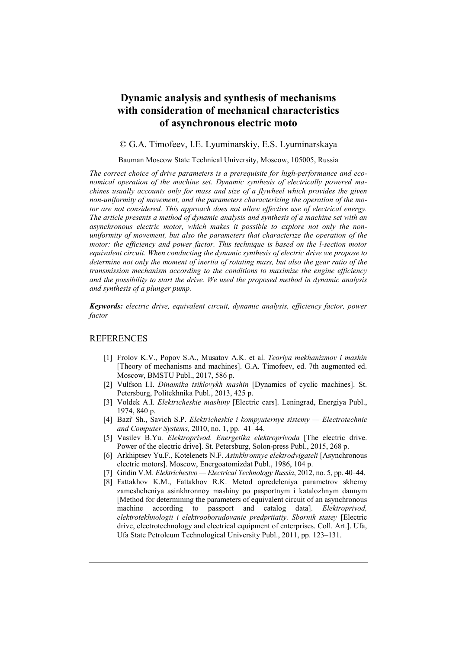## **Dynamic analysis and synthesis of mechanisms with consideration of mechanical characteristics of asynchronous electric moto**

## © G.A. Timofeev, I.E. Lyuminarskiy, E.S. Lyuminarskaya

## Bauman Moscow State Technical University, Moscow, 105005, Russia

*The correct choice of drive parameters is a prerequisite for high-performance and economical operation of the machine set. Dynamic synthesis of electrically powered machines usually accounts only for mass and size of a flywheel which provides the given non-uniformity of movement, and the parameters characterizing the operation of the motor are not considered. This approach does not allow effective use of electrical energy. The article presents a method of dynamic analysis and synthesis of a machine set with an asynchronous electric motor, which makes it possible to explore not only the nonuniformity of movement, but also the parameters that characterize the operation of the motor: the efficiency and power factor. This technique is based on the l-section motor equivalent circuit. When conducting the dynamic synthesis of electric drive we propose to determine not only the moment of inertia of rotating mass, but also the gear ratio of the transmission mechanism according to the conditions to maximize the engine efficiency and the possibility to start the drive. We used the proposed method in dynamic analysis and synthesis of a plunger pump.* 

*Keywords: electric drive, equivalent circuit, dynamic analysis, efficiency factor, power factor*

## **REFERENCES**

- [1] Frolov K.V., Popov S.A., Musatov A.K. et al. *Teoriya mekhanizmov i mashin* [Theory of mechanisms and machines]. G.A. Timofeev, ed. 7th augmented ed. Moscow, BMSTU Publ., 2017, 586 p.
- [2] Vulfson I.I. *Dinamika tsiklovykh mashin* [Dynamics of cyclic machines]. St. Petersburg, Politekhnika Publ., 2013, 425 p.
- [3] Voldek A.I. *Elektricheskie mashiny* [Electric cars]. Leningrad, Energiya Publ., 1974, 840 p.
- [4] Bazi' Sh., Savich S.P. *Elektricheskie i kompyuternye sistemy — Electrotechnic and Computer Systems,* 2010, no. 1, pp. 41–44.
- [5] Vasilev B.Yu. *Elektroprivod. Energetika elektroprivoda* [The electric drive. Power of the electric drive]. St. Petersburg, Solon-press Publ., 2015, 268 p.
- [6] Arkhiptsev Yu.F., Kotelenets N.F. *Asinkhronnye elektrodvigateli* [Asynchronous electric motors]. Moscow, Energoatomizdat Publ., 1986, 104 p.
- [7] Gridin V.M. *Elektrichestvo — Electrical Technology Russia*, 2012, no. 5, pp. 40–44.
- [8] Fattakhov K.M., Fattakhov R.K. Metod opredeleniya parametrov skhemy zameshcheniya asinkhronnoy mashiny po pasportnym i katalozhnym dannym [Method for determining the parameters of equivalent circuit of an asynchronous machine according to passport and catalog data]. *Elektroprivod*, machine according to passport and catalog data]. *Elektroprivod, elektrotekhnologii i elektrooborudovanie predpriiatiy. Sbornik statey* [Electric drive, electrotechnology and electrical equipment of enterprises. Coll. Art.]. Ufa, Ufa State Petroleum Technological University Publ., 2011, pp. 123–131.